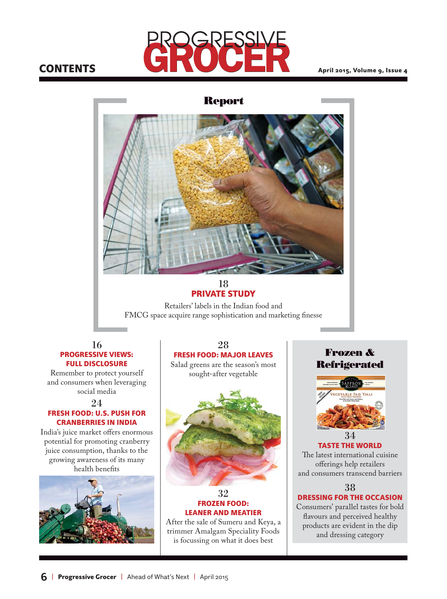# **CONTENTS**



April 2015, Volume 9, Issue 4



### 18 PRIVATE STUDY

Retailers' labels in the Indian food and FMCG space acquire range sophistication and marketing finesse

### 16 PROGRESSIVE VIEWS: FULL DISCLOSURE

Remember to protect yourself and consumers when leveraging social media

24

## FRESH FOOD: U.S. PUSH FOR CRANBERRIES IN INDIA

India's juice market offers enormous potential for promoting cranberry juice consumption, thanks to the growing awareness of its many health benefits



28 FRESH FOOD: MAJOR LEAVES

Salad greens are the season's most sought-after vegetable



### 32 FROZEN FOOD: LEANER AND MEATIER

After the sale of Sumeru and Keya, a trimmer Amalgam Speciality Foods is focussing on what it does best

**Frozen & Refrigerated**



TASTE THE WORLD The latest international cuisine offerings help retailers and consumers transcend barriers

### 38 DRESSING FOR THE OCCASION

Consumers' parallel tastes for bold flavours and perceived healthy products are evident in the dip and dressing category